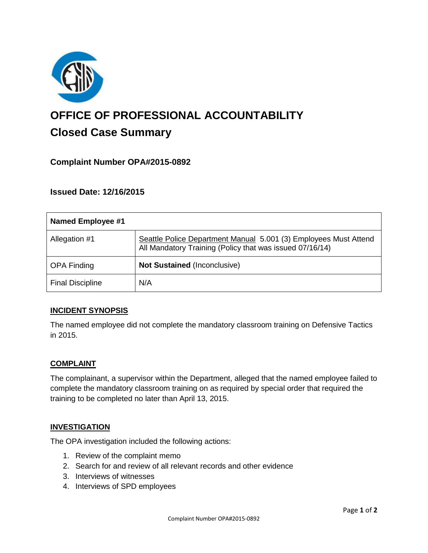

# **OFFICE OF PROFESSIONAL ACCOUNTABILITY Closed Case Summary**

# **Complaint Number OPA#2015-0892**

**Issued Date: 12/16/2015**

| Named Employee #1       |                                                                                                                              |
|-------------------------|------------------------------------------------------------------------------------------------------------------------------|
| Allegation #1           | Seattle Police Department Manual 5.001 (3) Employees Must Attend<br>All Mandatory Training (Policy that was issued 07/16/14) |
| <b>OPA Finding</b>      | <b>Not Sustained (Inconclusive)</b>                                                                                          |
| <b>Final Discipline</b> | N/A                                                                                                                          |

## **INCIDENT SYNOPSIS**

The named employee did not complete the mandatory classroom training on Defensive Tactics in 2015.

## **COMPLAINT**

The complainant, a supervisor within the Department, alleged that the named employee failed to complete the mandatory classroom training on as required by special order that required the training to be completed no later than April 13, 2015.

#### **INVESTIGATION**

The OPA investigation included the following actions:

- 1. Review of the complaint memo
- 2. Search for and review of all relevant records and other evidence
- 3. Interviews of witnesses
- 4. Interviews of SPD employees